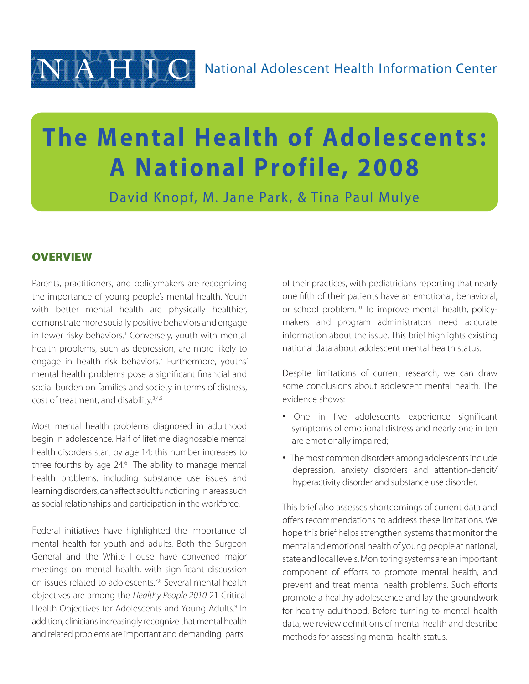

# **The Mental Health of Adolescents: A National Profile, 2008**

David Knopf, M. Jane Park, & Tina Paul Mulye

## **OVERVIEW**

Parents, practitioners, and policymakers are recognizing the importance of young people's mental health. Youth with better mental health are physically healthier, demonstrate more socially positive behaviors and engage in fewer risky behaviors.<sup>1</sup> Conversely, youth with mental health problems, such as depression, are more likely to engage in health risk behaviors.<sup>2</sup> Furthermore, youths' mental health problems pose a significant financial and social burden on families and society in terms of distress, cost of treatment, and disability.<sup>3,4,5</sup>

Most mental health problems diagnosed in adulthood begin in adolescence. Half of lifetime diagnosable mental health disorders start by age 14; this number increases to three fourths by age 24.<sup>6</sup> The ability to manage mental health problems, including substance use issues and learning disorders, can affect adult functioning in areas such as social relationships and participation in the workforce.

Federal initiatives have highlighted the importance of mental health for youth and adults. Both the Surgeon General and the White House have convened major meetings on mental health, with significant discussion on issues related to adolescents.<sup>7,8</sup> Several mental health objectives are among the *Healthy People 2010* 21 Critical Health Objectives for Adolescents and Young Adults.<sup>9</sup> In addition, clinicians increasingly recognize that mental health and related problems are important and demanding parts

of their practices, with pediatricians reporting that nearly one fifth of their patients have an emotional, behavioral, or school problem.10 To improve mental health, policymakers and program administrators need accurate information about the issue. This brief highlights existing national data about adolescent mental health status.

Despite limitations of current research, we can draw some conclusions about adolescent mental health. The evidence shows:

- One in five adolescents experience significant symptoms of emotional distress and nearly one in ten are emotionally impaired;
- The most common disorders among adolescents include depression, anxiety disorders and attention-deficit/ hyperactivity disorder and substance use disorder.

This brief also assesses shortcomings of current data and offers recommendations to address these limitations. We hope this brief helps strengthen systems that monitor the mental and emotional health of young people at national, state and local levels. Monitoring systems are animportant component of efforts to promote mental health, and prevent and treat mental health problems. Such efforts promote a healthy adolescence and lay the groundwork for healthy adulthood. Before turning to mental health data, we review definitions of mental health and describe methods for assessing mental health status.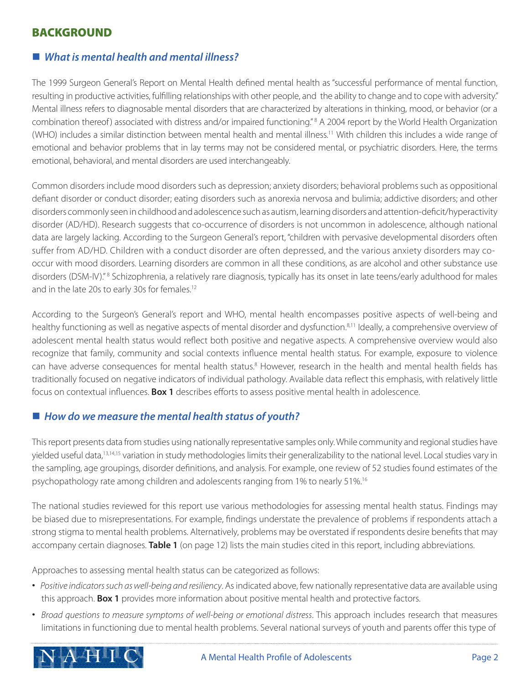# BACKGROUND

## ■ *What is mental health and mental illness?*

The 1999 Surgeon General's Report on Mental Health defined mental health as "successful performance of mental function, resulting in productive activities, fulfilling relationships with other people, and the ability to change and to cope with adversity." Mental illness refers to diagnosable mental disorders that are characterized by alterations in thinking, mood, or behavior (or a combination thereof) associated with distress and/or impaired functioning."<sup>8</sup> A 2004 report by the World Health Organization (WHO) includes a similar distinction between mental health and mental illness.11 With children this includes a wide range of emotional and behavior problems that in lay terms may not be considered mental, or psychiatric disorders. Here, the terms emotional, behavioral, and mental disorders are used interchangeably.

Common disorders include mood disorders such as depression; anxiety disorders; behavioral problems such as oppositional defiant disorder or conduct disorder; eating disorders such as anorexia nervosa and bulimia; addictive disorders; and other disorders commonly seen in childhood and adolescence such as autism, learning disorders and attention-deficit/hyperactivity disorder (AD/HD). Research suggests that co-occurrence of disorders is not uncommon in adolescence, although national data are largely lacking. According to the Surgeon General's report, "children with pervasive developmental disorders often suffer from AD/HD. Children with a conduct disorder are often depressed, and the various anxiety disorders may cooccur with mood disorders. Learning disorders are common in all these conditions, as are alcohol and other substance use disorders (DSM-IV)."<sup>8</sup> Schizophrenia, a relatively rare diagnosis, typically has its onset in late teens/early adulthood for males and in the late 20s to early 30s for females.<sup>12</sup>

According to the Surgeon's General's report and WHO, mental health encompasses positive aspects of well-being and healthy functioning as well as negative aspects of mental disorder and dysfunction.<sup>8,11</sup> Ideally, a comprehensive overview of adolescent mental health status would reflect both positive and negative aspects. A comprehensive overview would also recognize that family, community and social contexts influence mental health status. For example, exposure to violence can have adverse consequences for mental health status.<sup>8</sup> However, research in the health and mental health fields has traditionally focused on negative indicators of individual pathology. Available data reflect this emphasis, with relatively little focus on contextual influences. **Box 1** describes efforts to assess positive mental health in adolescence.

## ■ How do we measure the mental health status of youth?

This report presents data from studies using nationally representative samples only. While community and regional studies have yielded useful data,<sup>13,14,15</sup> variation in study methodologies limits their generalizability to the national level. Local studies vary in the sampling, age groupings, disorder definitions, and analysis. For example, one review of 52 studies found estimates of the psychopathology rate among children and adolescents ranging from 1% to nearly 51%.16

The national studies reviewed for this report use various methodologies for assessing mental health status. Findings may be biased due to misrepresentations. For example, findings understate the prevalence of problems if respondents attach a strong stigma to mental health problems. Alternatively, problems may be overstated if respondents desire benefits that may accompany certain diagnoses. **Table 1** (on page 12) lists the main studies cited in this report, including abbreviations.

Approaches to assessing mental health status can be categorized as follows:

- *Positive indicators such as well-being and resiliency*. As indicated above, few nationally representative data are available using this approach. **Box 1** provides more information about positive mental health and protective factors.
- *Broad questions to measure symptoms of well-being or emotional distress*. This approach includes research that measures limitations in functioning due to mental health problems. Several national surveys of youth and parents offer this type of

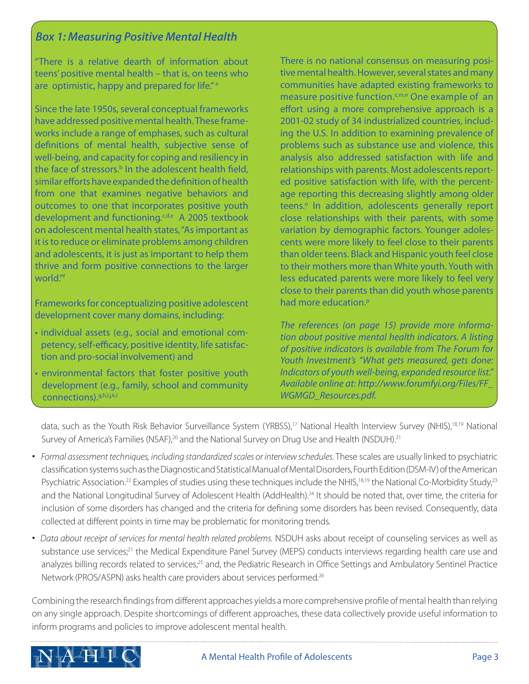# *Box 1: Measuring Positive Mental Health*

"There is a relative dearth of information about teens' positive mental health – that is, on teens who are optimistic, happy and prepared for life."<sup>a</sup>

Since the late 1950s, several conceptual frameworks have addressed positive mental health. These frameworks include a range of emphases, such as cultural definitions of mental health, subjective sense of well-being, and capacity for coping and resiliency in the face of stressors.<sup>b</sup> In the adolescent health field, similar efforts have expanded the definition of health from one that examines negative behaviors and outcomes to one that incorporates positive youth development and functioning. $G_{\text{de}}$  A 2005 textbook on adolescent mental health states, "As important as it is to reduce or eliminate problems among children and adolescents, it is just as important to help them thrive and form positive connections to the larger world."f

Frameworks for conceptualizing positive adolescent development cover many domains, including:

- individual assets (e.g., social and emotional competency, self-efficacy, positive identity, life satisfaction and pro-social involvement) and
- environmental factors that foster positive youth development (e.g., family, school and community connections).g,h,I,j,k,l

There is no national consensus on measuring positive mental health. However, several states and many communities have adapted existing frameworks to measure positive function.<sup>c,m,n</sup> One example of an effort using a more comprehensive approach is a 2001-02 study of 34 industrialized countries, including the U.S. In addition to examining prevalence of problems such as substance use and violence, this analysis also addressed satisfaction with life and relationships with parents. Most adolescents reported positive satisfaction with life, with the percentage reporting this decreasing slightly among older teens.<sup>o</sup> In addition, adolescents generally report close relationships with their parents, with some variation by demographic factors. Younger adolescents were more likely to feel close to their parents than older teens. Black and Hispanic youth feel close to their mothers more than White youth. Youth with less educated parents were more likely to feel very close to their parents than did youth whose parents had more education.<sup>p</sup>

*The references (on page 15) provide more information about positive mental health indicators. A listing of positive indicators is available from The Forum for Youth Investment's "What gets measured, gets done: Indicators of youth well-being, expanded resource list." Available online at: http://www.forumfyi.org/Files/FF\_ WGMGD\_Resources.pdf.*

data, such as the Youth Risk Behavior Surveillance System (YRBSS),<sup>17</sup> National Health Interview Survey (NHIS),<sup>18,19</sup> National Survey of America's Families (NSAF),<sup>20</sup> and the National Survey on Drug Use and Health (NSDUH).<sup>21</sup>

- *Formal assessment techniques, including standardized scales or interview schedules.* These scales are usually linked to psychiatric classification systems such as the Diagnostic and Statistical Manual of Mental Disorders, Fourth Edition (DSM-IV) of theAmerican Psychiatric Association.<sup>22</sup> Examples of studies using these techniques include the NHIS,<sup>18,19</sup> the National Co-Morbidity Study,<sup>23</sup> and the National Longitudinal Survey of Adolescent Health (AddHealth).<sup>24</sup> It should be noted that, over time, the criteria for inclusion of some disorders has changed and the criteria for defining some disorders has been revised. Consequently, data collected at different points in time may be problematic for monitoring trends.
- *Data about receipt of services for mental health related problems.* NSDUH asks about receipt of counseling services as well as substance use services;<sup>21</sup> the Medical Expenditure Panel Survey (MEPS) conducts interviews regarding health care use and analyzes billing records related to services;<sup>25</sup> and, the Pediatric Research in Office Settings and Ambulatory Sentinel Practice Network (PROS/ASPN) asks health care providers about services performed.26

Combining the research findings from different approaches yields a more comprehensive profile of mental health than relying on any single approach. Despite shortcomings of different approaches, these data collectively provide useful information to inform programs and policies to improve adolescent mental health.

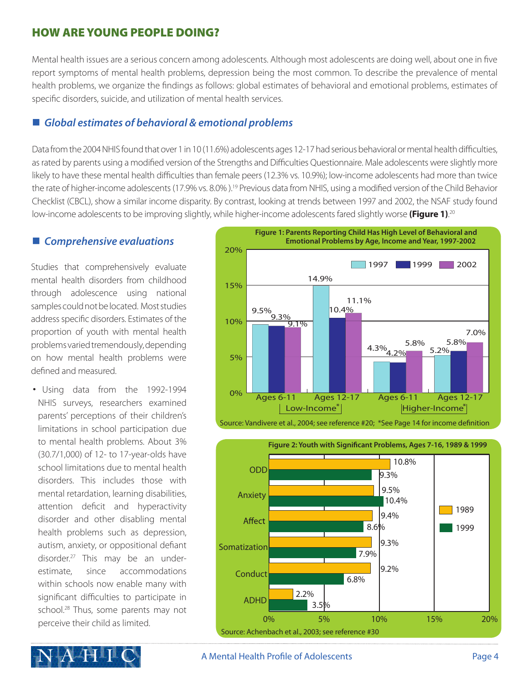# HOW ARE YOUNG PEOPLE DOING?

Mental health issues are a serious concern among adolescents. Although most adolescents are doing well, about one in five report symptoms of mental health problems, depression being the most common. To describe the prevalence of mental health problems, we organize the findings as follows: global estimates of behavioral and emotional problems, estimates of specific disorders, suicide, and utilization of mental health services.

## ■ Global estimates of behavioral & emotional problems

Data from the 2004 NHIS found that over 1 in 10 (11.6%) adolescents ages 12-17 had serious behavioral or mental health difficulties, as rated by parents using a modified version of the Strengths and Difficulties Questionnaire. Male adolescents were slightly more likely to have these mental health difficulties than female peers (12.3% vs. 10.9%); low-income adolescents had more than twice the rate of higher-income adolescents (17.9% vs. 8.0%).<sup>19</sup> Previous data from NHIS, using a modified version of the Child Behavior Checklist (CBCL), show a similar income disparity. By contrast, looking at trends between 1997 and 2002, the NSAF study found low-income adolescents to be improving slightly, while higher-income adolescents fared slightly worse **(Figure 1)**. 20

## ■ Comprehensive evaluations

Studies that comprehensively evaluate mental health disorders from childhood through adolescence using national samples could not be located. Most studies address specific disorders. Estimates of the proportion of youth with mental health problems varied tremendously, depending on how mental health problems were defined and measured.

• Using data from the 1992-1994 NHIS surveys, researchers examined parents' perceptions of their children's limitations in school participation due to mental health problems. About 3% (30.7/1,000) of 12- to 17-year-olds have school limitations due to mental health disorders. This includes those with mental retardation, learning disabilities, attention deficit and hyperactivity disorder and other disabling mental health problems such as depression, autism, anxiety, or oppositional defiant disorder.27 This may be an underestimate, since accommodations within schools now enable many with significant difficulties to participate in school.<sup>28</sup> Thus, some parents may not perceive their child as limited.





#### A Mental Health Profile of Adolescents **Page 4**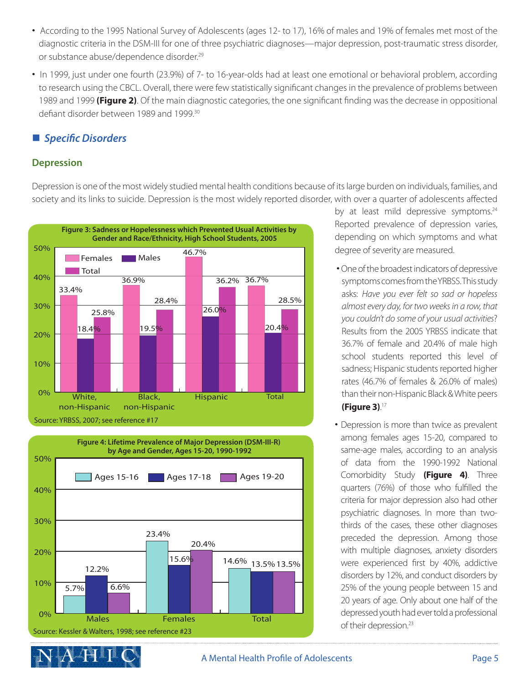- According to the 1995 National Survey of Adolescents (ages 12- to 17), 16% of males and 19% of females met most of the diagnostic criteria in the DSM-III for one of three psychiatric diagnoses—major depression, post-traumatic stress disorder, or substance abuse/dependence disorder.<sup>29</sup>
- In 1999, just under one fourth (23.9%) of 7- to 16-year-olds had at least one emotional or behavioral problem, according to research using the CBCL. Overall, there were few statistically significant changes in the prevalence of problems between 1989 and 1999 **(Figure 2)**. Of the main diagnostic categories, the one significant finding was the decrease in oppositional defiant disorder between 1989 and 1999.<sup>30</sup>

## ■ *Specific Disorders*

#### **Depression**

Depression is one of the most widely studied mental health conditions because of its large burden on individuals, families, and society and its links to suicide. Depression is the most widely reported disorder, with over a quarter of adolescents affected





by at least mild depressive symptoms.<sup>24</sup> Reported prevalence of depression varies, depending on which symptoms and what degree of severity are measured.

- One of the broadest indicators of depressive symptoms comes from the YRBSS. This study asks: *Have you ever felt so sad or hopeless almost every day, for two weeks in a row, that you couldn't do some of your usual activities*? Results from the 2005 YRBSS indicate that 36.7% of female and 20.4% of male high school students reported this level of sadness; Hispanic students reported higher rates (46.7% of females & 26.0% of males) than their non-Hispanic Black & White peers **(Figure 3)**. 17
- Depression is more than twice as prevalent among females ages 15-20, compared to same-age males, according to an analysis of data from the 1990-1992 National Comorbidity Study **(Figure 4)**. Three quarters (76%) of those who fulfilled the criteria for major depression also had other psychiatric diagnoses. In more than twothirds of the cases, these other diagnoses preceded the depression. Among those with multiple diagnoses, anxiety disorders were experienced first by 40%, addictive disorders by 12%, and conduct disorders by 25% of the young people between 15 and 20 years of age. Only about one half of the depressed youth had ever told a professional of their depression.<sup>23</sup>

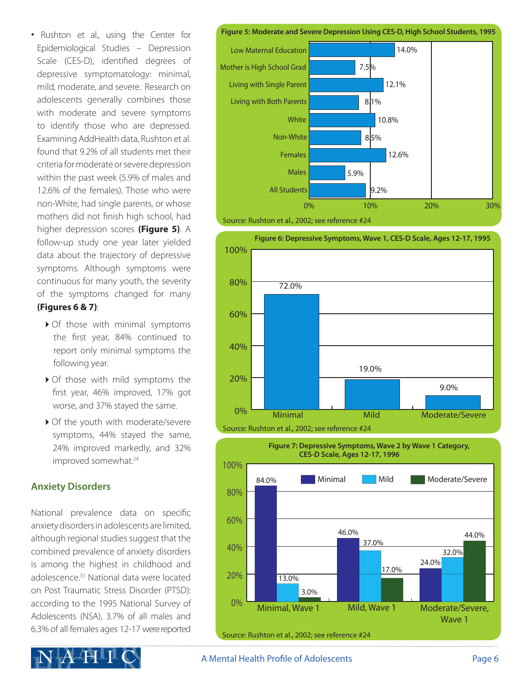• Rushton et al., using the Center for Epidemiological Studies – Depression Scale (CES-D), identified degrees of depressive symptomatology: minimal, mild, moderate, and severe. Research on adolescents generally combines those with moderate and severe symptoms to identify those who are depressed. Examining AddHealth data, Rushton et al. found that 9.2% of all students met their criteria for moderate or severe depression within the past week (5.9% of males and 12.6% of the females). Those who were non-White, had single parents, or whose mothers did not finish high school, had higher depression scores **(Figure 5)**. A follow-up study one year later yielded data about the trajectory of depressive symptoms. Although symptoms were continuous for many youth, the severity of the symptoms changed for many **(Figures 6 & 7)**:

- ▶ Of those with minimal symptoms the first year, 84% continued to report only minimal symptoms the following year.
- $\triangleright$  Of those with mild symptoms the first year, 46% improved, 17% got worse, and 37% stayed the same.
- ▶ Of the youth with moderate/severe symptoms, 44% stayed the same, 24% improved markedly, and 32% improved somewhat.<sup>24</sup>

## **Anxiety Disorders**

National prevalence data on specific anxiety disorders in adolescents are limited, although regional studies suggest that the combined prevalence of anxiety disorders is among the highest in childhood and adolescence<sup>31</sup> National data were located on Post Traumatic Stress Disorder (PTSD): according to the 1995 National Survey of Adolescents (NSA), 3.7% of all males and 6.3% of all females ages 12-17 were reported



**Figure 5: Moderate and Severe Depression Using CES-D, High School Students, 1995**







#### A Mental Health Profile of Adolescents **Page 6**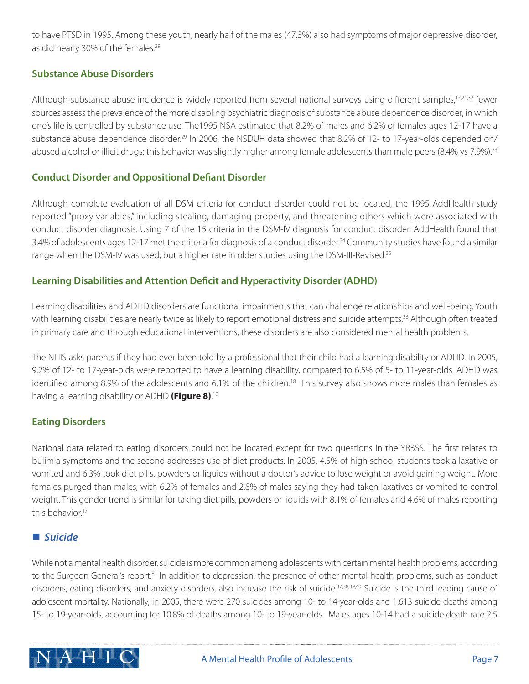to have PTSD in 1995. Among these youth, nearly half of the males (47.3%) also had symptoms of major depressive disorder, as did nearly 30% of the females.<sup>29</sup>

#### **Substance Abuse Disorders**

Although substance abuse incidence is widely reported from several national surveys using different samples,<sup>17,21,32</sup> fewer sources assess the prevalence of the more disabling psychiatric diagnosis of substance abuse dependence disorder, in which one's life is controlled by substance use. The1995 NSA estimated that 8.2% of males and 6.2% of females ages 12-17 have a substance abuse dependence disorder.<sup>29</sup> In 2006, the NSDUH data showed that 8.2% of 12- to 17-year-olds depended on/ abused alcohol or illicit drugs; this behavior was slightly higher among female adolescents than male peers (8.4% vs 7.9%).<sup>33</sup>

#### **Conduct Disorder and Oppositional Defiant Disorder**

Although complete evaluation of all DSM criteria for conduct disorder could not be located, the 1995 AddHealth study reported "proxy variables," including stealing, damaging property, and threatening others which were associated with conduct disorder diagnosis. Using 7 of the 15 criteria in the DSM-IV diagnosis for conduct disorder, AddHealth found that 3.4% of adolescents ages 12-17 met the criteria for diagnosis of a conduct disorder.<sup>34</sup> Community studies have found a similar range when the DSM-IV was used, but a higher rate in older studies using the DSM-III-Revised.<sup>35</sup>

#### **Learning Disabilities and Attention Deficit and Hyperactivity Disorder (ADHD)**

Learning disabilities and ADHD disorders are functional impairments that can challenge relationships and well-being. Youth with learning disabilities are nearly twice as likely to report emotional distress and suicide attempts.<sup>36</sup> Although often treated in primary care and through educational interventions, these disorders are also considered mental health problems.

The NHIS asks parents if they had ever been told by a professional that their child had a learning disability or ADHD. In 2005, 9.2% of 12- to 17-year-olds were reported to have a learning disability, compared to 6.5% of 5- to 11-year-olds. ADHD was identified among 8.9% of the adolescents and 6.1% of the children.<sup>18</sup> This survey also shows more males than females as having a learning disability or ADHD **(Figure 8)**. 19

#### **Eating Disorders**

National data related to eating disorders could not be located except for two questions in the YRBSS. The first relates to bulimia symptoms and the second addresses use of diet products. In 2005, 4.5% of high school students took a laxative or vomited and 6.3% took diet pills, powders or liquids without a doctor's advice to lose weight or avoid gaining weight. More females purged than males, with 6.2% of females and 2.8% of males saying they had taken laxatives or vomited to control weight. This gender trend is similar for taking diet pills, powders or liquids with 8.1% of females and 4.6% of males reporting this behavior.<sup>17</sup>

#### **■** Suicide

While not a mental health disorder, suicide is more common among adolescents with certain mental health problems, according to the Surgeon General's report.<sup>8</sup> In addition to depression, the presence of other mental health problems, such as conduct disorders, eating disorders, and anxiety disorders, also increase the risk of suicide.<sup>37,38,39,40</sup> Suicide is the third leading cause of adolescent mortality. Nationally, in 2005, there were 270 suicides among 10- to 14-year-olds and 1,613 suicide deaths among 15- to 19-year-olds, accounting for 10.8% of deaths among 10- to 19-year-olds. Males ages 10-14 had a suicide death rate 2.5

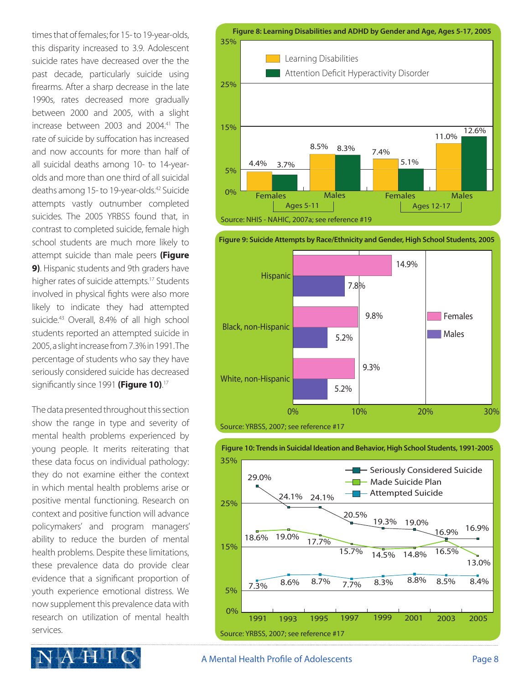times that of females; for 15- to 19-year-olds, this disparity increased to 3.9. Adolescent suicide rates have decreased over the the past decade, particularly suicide using firearms. After a sharp decrease in the late 1990s, rates decreased more gradually between 2000 and 2005, with a slight increase between 2003 and 2004.<sup>41</sup> The rate of suicide by suffocation has increased and now accounts for more than half of all suicidal deaths among 10- to 14-yearolds and more than one third of all suicidal deaths among 15- to 19-year-olds.42 Suicide attempts vastly outnumber completed suicides. The 2005 YRBSS found that, in contrast to completed suicide, female high school students are much more likely to attempt suicide than male peers **(Figure 9)**. Hispanic students and 9th graders have higher rates of suicide attempts.<sup>17</sup> Students involved in physical fights were also more likely to indicate they had attempted suicide.<sup>43</sup> Overall, 8.4% of all high school students reported an attempted suicide in 2005, a slight increase from 7.3% in 1991. The percentage of students who say they have seriously considered suicide has decreased significantly since 1991 **(Figure 10)**. 17

The data presented throughout this section show the range in type and severity of mental health problems experienced by young people. It merits reiterating that these data focus on individual pathology: they do not examine either the context in which mental health problems arise or positive mental functioning. Research on context and positive function will advance policymakers' and program managers' ability to reduce the burden of mental health problems. Despite these limitations, these prevalence data do provide clear evidence that a significant proportion of youth experience emotional distress. We now supplement this prevalence data with research on utilization of mental health services.









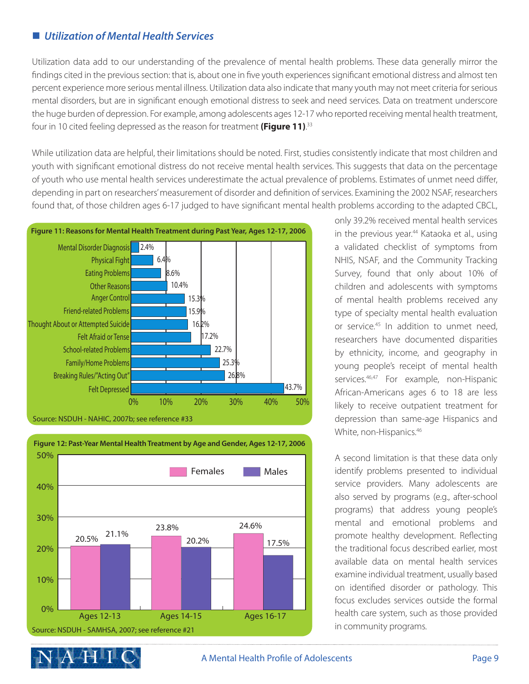## ■ *Utilization of Mental Health Services*

Utilization data add to our understanding of the prevalence of mental health problems. These data generally mirror the findings cited in the previous section: that is, about one in five youth experiences significant emotional distress and almost ten percent experience more serious mental illness. Utilization data also indicate that many youth may not meet criteria for serious mental disorders, but are in significant enough emotional distress to seek and need services. Data on treatment underscore the huge burden of depression. For example, among adolescents ages 12-17 who reported receiving mental health treatment, four in 10 cited feeling depressed as the reason for treatment **(Figure 11)**. 33

While utilization data are helpful, their limitations should be noted. First, studies consistently indicate that most children and youth with significant emotional distress do not receive mental health services. This suggests that data on the percentage of youth who use mental health services underestimate the actual prevalence of problems. Estimates of unmet need differ, depending in part on researchers' measurement of disorder and definition of services. Examining the 2002 NSAF, researchers found that, of those children ages 6-17 judged to have significant mental health problems according to the adapted CBCL,





**Figure 12: Past-Year Mental Health Treatment by Age and Gender, Ages 12-17, 2006**

only 39.2% received mental health services in the previous year.<sup>44</sup> Kataoka et al., using a validated checklist of symptoms from NHIS, NSAF, and the Community Tracking Survey, found that only about 10% of children and adolescents with symptoms of mental health problems received any type of specialty mental health evaluation or service.<sup>45</sup> In addition to unmet need, researchers have documented disparities by ethnicity, income, and geography in young people's receipt of mental health services.<sup>46,47</sup> For example, non-Hispanic African-Americans ages 6 to 18 are less likely to receive outpatient treatment for depression than same-age Hispanics and White, non-Hispanics.<sup>46</sup>

A second limitation is that these data only identify problems presented to individual service providers. Many adolescents are also served by programs (e.g., after-school programs) that address young people's mental and emotional problems and promote healthy development. Reflecting the traditional focus described earlier, most available data on mental health services examine individual treatment, usually based on identified disorder or pathology. This focus excludes services outside the formal health care system, such as those provided in community programs.

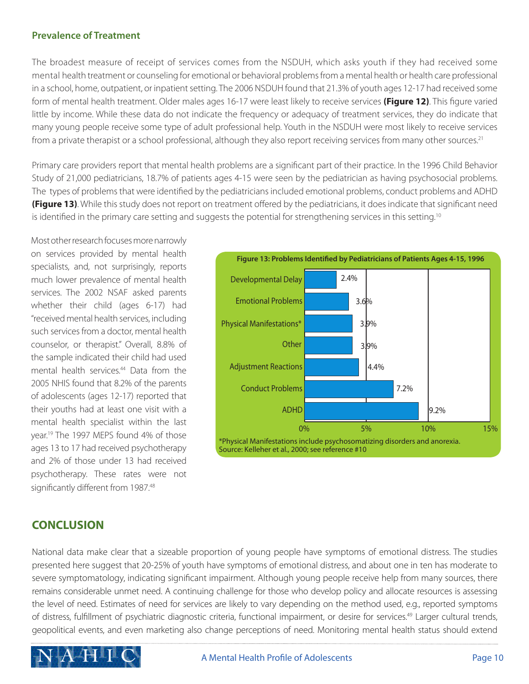#### **Prevalence of Treatment**

The broadest measure of receipt of services comes from the NSDUH, which asks youth if they had received some mental health treatment or counseling for emotional or behavioral problems from a mental health or health care professional in a school, home, outpatient, or inpatient setting. The 2006 NSDUH found that 21.3% of youth ages 12-17 had received some form of mental health treatment. Older males ages 16-17 were least likely to receive services **(Figure 12)**. This figure varied little by income. While these data do not indicate the frequency or adequacy of treatment services, they do indicate that many young people receive some type of adult professional help. Youth in the NSDUH were most likely to receive services from a private therapist or a school professional, although they also report receiving services from many other sources.<sup>21</sup>

Primary care providers report that mental health problems are a significant part of their practice. In the 1996 Child Behavior Study of 21,000 pediatricians, 18.7% of patients ages 4-15 were seen by the pediatrician as having psychosocial problems. The types of problems that were identified by the pediatricians included emotional problems, conduct problems and ADHD **(Figure 13)**. While this study does not report on treatment offered by the pediatricians, it does indicate that significant need is identified in the primary care setting and suggests the potential for strengthening services in this setting.<sup>10</sup>

Most other research focuses more narrowly on services provided by mental health specialists, and, not surprisingly, reports much lower prevalence of mental health services. The 2002 NSAF asked parents whether their child (ages 6-17) had "received mental health services, including such services from a doctor, mental health counselor, or therapist." Overall, 8.8% of the sample indicated their child had used mental health services.<sup>44</sup> Data from the 2005 NHIS found that 8.2% of the parents of adolescents (ages 12-17) reported that their youths had at least one visit with a mental health specialist within the last year.<sup>19</sup> The 1997 MEPS found 4% of those ages 13 to 17 had received psychotherapy and 2% of those under 13 had received psychotherapy. These rates were not significantly different from 1987.<sup>48</sup>



## **CONCLUSION**

National data make clear that a sizeable proportion of young people have symptoms of emotional distress. The studies presented here suggest that 20-25% of youth have symptoms of emotional distress, and about one in ten has moderate to severe symptomatology, indicating significant impairment. Although young people receive help from many sources, there remains considerable unmet need. A continuing challenge for those who develop policy and allocate resources is assessing the level of need. Estimates of need for services are likely to vary depending on the method used, e.g., reported symptoms of distress, fulfillment of psychiatric diagnostic criteria, functional impairment, or desire for services.49 Larger cultural trends, geopolitical events, and even marketing also change perceptions of need. Monitoring mental health status should extend

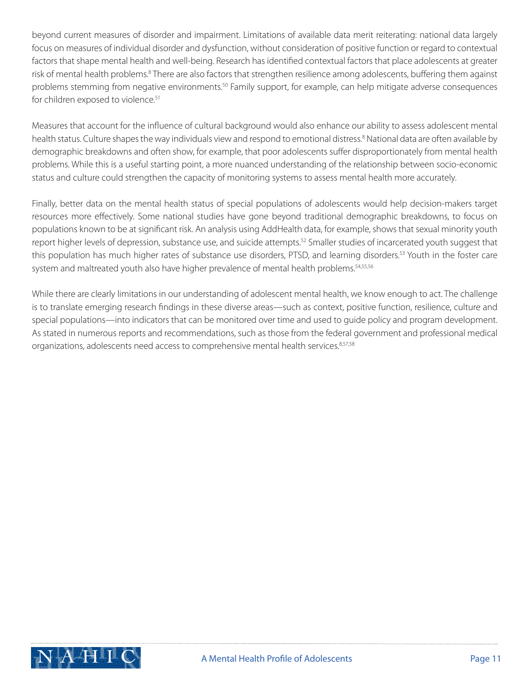beyond current measures of disorder and impairment. Limitations of available data merit reiterating: national data largely focus on measures of individual disorder and dysfunction, without consideration of positive function or regard to contextual factors that shape mental health and well-being. Research has identified contextual factors that place adolescents at greater risk of mental health problems.<sup>8</sup> There are also factors that strengthen resilience among adolescents, buffering them against problems stemming from negative environments.<sup>50</sup> Family support, for example, can help mitigate adverse consequences for children exposed to violence.<sup>51</sup>

Measures that account for the influence of cultural background would also enhance our ability to assess adolescent mental health status. Culture shapes the way individuals view and respond to emotional distress.<sup>8</sup> National data are often available by demographic breakdowns and often show, for example, that poor adolescents suffer disproportionately from mental health problems. While this is a useful starting point, a more nuanced understanding of the relationship between socio-economic status and culture could strengthen the capacity of monitoring systems to assess mental health more accurately.

Finally, better data on the mental health status of special populations of adolescents would help decision-makers target resources more effectively. Some national studies have gone beyond traditional demographic breakdowns, to focus on populations known to be at significant risk. An analysis using AddHealth data, for example, shows that sexual minority youth report higher levels of depression, substance use, and suicide attempts.<sup>52</sup> Smaller studies of incarcerated youth suggest that this population has much higher rates of substance use disorders, PTSD, and learning disorders.<sup>53</sup> Youth in the foster care system and maltreated youth also have higher prevalence of mental health problems.<sup>54,55,56</sup>

While there are clearly limitations in our understanding of adolescent mental health, we know enough to act. The challenge is to translate emerging research findings in these diverse areas—such as context, positive function, resilience, culture and special populations—into indicators that can be monitored over time and used to guide policy and program development. As stated in numerous reports and recommendations, such as those from the federal government and professional medical organizations, adolescents need access to comprehensive mental health services.<sup>8,57,58</sup>

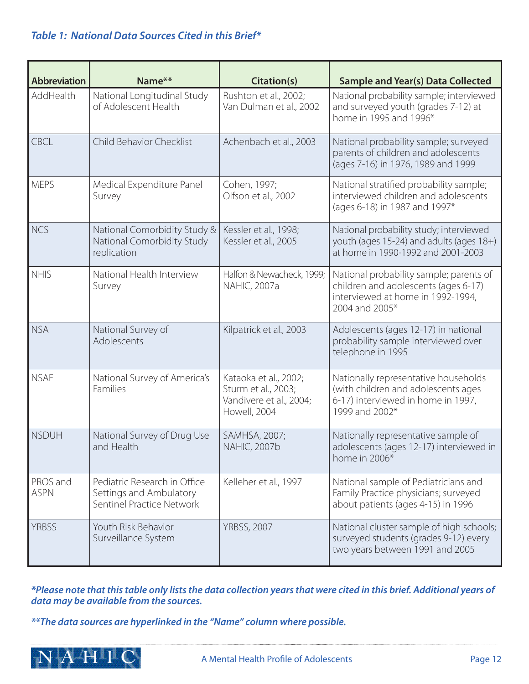## *Table 1: National Data Sources Cited in this Brief\**

| <b>Abbreviation</b>     | Name**                                                                               | Citation(s)                                                                             | <b>Sample and Year(s) Data Collected</b>                                                                                               |
|-------------------------|--------------------------------------------------------------------------------------|-----------------------------------------------------------------------------------------|----------------------------------------------------------------------------------------------------------------------------------------|
| AddHealth               | National Longitudinal Study<br>of Adolescent Health                                  | Rushton et al., 2002;<br>Van Dulman et al., 2002                                        | National probability sample; interviewed<br>and surveyed youth (grades 7-12) at<br>home in 1995 and 1996*                              |
| <b>CBCL</b>             | Child Behavior Checklist                                                             | Achenbach et al., 2003                                                                  | National probability sample; surveyed<br>parents of children and adolescents<br>(ages 7-16) in 1976, 1989 and 1999                     |
| <b>MEPS</b>             | Medical Expenditure Panel<br>Survey                                                  | Cohen, 1997;<br>Olfson et al., 2002                                                     | National stratified probability sample;<br>interviewed children and adolescents<br>(ages 6-18) in 1987 and 1997*                       |
| <b>NCS</b>              | National Comorbidity Study &<br>National Comorbidity Study<br>replication            | Kessler et al., 1998;<br>Kessler et al., 2005                                           | National probability study; interviewed<br>youth (ages 15-24) and adults (ages 18+)<br>at home in 1990-1992 and 2001-2003              |
| <b>NHIS</b>             | National Health Interview<br>Survey                                                  | Halfon & Newacheck, 1999;<br><b>NAHIC, 2007a</b>                                        | National probability sample; parents of<br>children and adolescents (ages 6-17)<br>interviewed at home in 1992-1994,<br>2004 and 2005* |
| <b>NSA</b>              | National Survey of<br>Adolescents                                                    | Kilpatrick et al., 2003                                                                 | Adolescents (ages 12-17) in national<br>probability sample interviewed over<br>telephone in 1995                                       |
| <b>NSAF</b>             | National Survey of America's<br>Families                                             | Kataoka et al., 2002;<br>Sturm et al., 2003;<br>Vandivere et al., 2004;<br>Howell, 2004 | Nationally representative households<br>(with children and adolescents ages<br>6-17) interviewed in home in 1997,<br>1999 and 2002*    |
| <b>NSDUH</b>            | National Survey of Drug Use<br>and Health                                            | SAMHSA, 2007;<br><b>NAHIC, 2007b</b>                                                    | Nationally representative sample of<br>adolescents (ages 12-17) interviewed in<br>home in 2006*                                        |
| PROS and<br><b>ASPN</b> | Pediatric Research in Office<br>Settings and Ambulatory<br>Sentinel Practice Network | Kelleher et al., 1997                                                                   | National sample of Pediatricians and<br>Family Practice physicians; surveyed<br>about patients (ages 4-15) in 1996                     |
| <b>YRBSS</b>            | Youth Risk Behavior<br>Surveillance System                                           | <b>YRBSS, 2007</b>                                                                      | National cluster sample of high schools;<br>surveyed students (grades 9-12) every<br>two years between 1991 and 2005                   |

*\*Please note that this table only lists the data collection years that were cited in this brief. Additional years of data may be available from the sources.* 

*\*\*The data sources are hyperlinked in the "Name" column where possible.* 

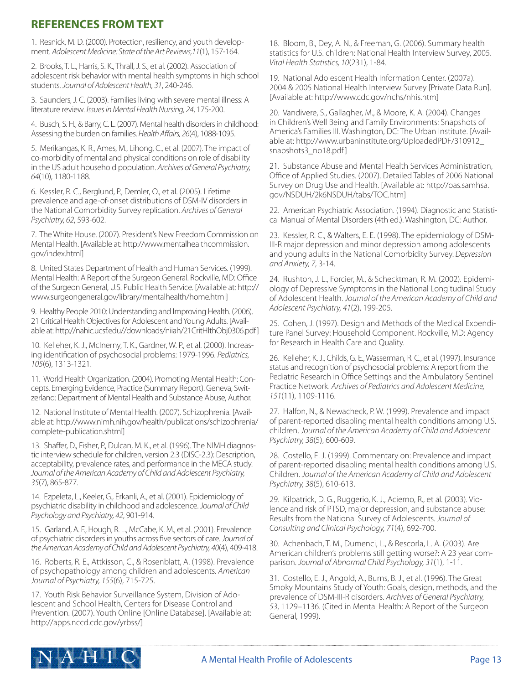# **REFERENCES FROM TEXT**

1. Resnick, M. D. (2000). Protection, resiliency, and youth development. *Adolescent Medicine: State of the Art Reviews,11*(1), 157-164.

2. Brooks, T. L., Harris, S. K., Thrall, J. S., et al. (2002). Association of adolescent risk behavior with mental health symptoms in high school students. *Journal of Adolescent Health, 31*, 240-246.

3. Saunders, J. C. (2003). Families living with severe mental illness: A literature review. *Issues in Mental Health Nursing, 24*, 175-200.

4. Busch, S. H., & Barry, C. L. (2007). Mental health disorders in childhood: Assessing the burden on families. *Health Affairs, 26*(4), 1088-1095.

5. Merikangas, K. R., Ames, M., Lihong, C., et al. (2007). The impact of co-morbidity of mental and physical conditions on role of disability in the US adult household population. *Archives of General Psychiatry, 64*(10), 1180-1188.

6. Kessler, R. C., Berglund, P., Demler, O., et al. (2005). Lifetime prevalence and age-of-onset distributions of DSM-IV disorders in the National Comorbidity Survey replication. *Archives of General Psychiatry, 62*, 593-602.

7. The White House. (2007). President's New Freedom Commission on Mental Health. [Available at: http://www.mentalhealthcommission. gov/index.html]

8. United States Department of Health and Human Services. (1999). Mental Health: A Report of the Surgeon General. Rockville, MD: Office of the Surgeon General, U.S. Public Health Service. [Available at: http:// www.surgeongeneral.gov/library/mentalhealth/home.html]

9. Healthy People 2010: Understanding and Improving Health. (2006). 21 Critical Health Objectives for Adolescent and Young Adults. [Available at: http://nahic.ucsf.edu//downloads/niiah/21CritHlthObj0306.pdf]

10. Kelleher, K. J., McInerny, T. K., Gardner, W. P., et al. (2000). Increasing identification of psychosocial problems: 1979-1996. *Pediatrics, 105*(6), 1313-1321.

11. World Health Organization. (2004). Promoting Mental Health: Concepts, Emerging Evidence, Practice (Summary Report). Geneva, Switzerland: Department of Mental Health and Substance Abuse, Author.

12. National Institute of Mental Health. (2007). Schizophrenia. [Available at: http://www.nimh.nih.gov/health/publications/schizophrenia/ complete-publication.shtml]

13. Shaffer, D., Fisher, P., Dulcan, M. K., et al. (1996). The NIMH diagnostic interview schedule for children, version 2.3 (DISC-2.3): Description, acceptability, prevalence rates, and performance in the MECA study. *Journal of the American Academy of Child and Adolescent Psychiatry, 35*(7), 865-877.

14. Ezpeleta, L., Keeler, G., Erkanli, A., et al. (2001). Epidemiology of psychiatric disability in childhood and adolescence. J*ournal of Child Psychology and Psychiatry, 42*, 901-914.

15. Garland, A. F., Hough, R. L., McCabe, K. M., et al. (2001). Prevalence of psychiatric disorders in youths across five sectors of care. *Journal of the American Academy of Child and Adolescent Psychiatry, 40*(4), 409-418.

16. Roberts, R. E., Attkisson, C., & Rosenblatt, A. (1998). Prevalence of psychopathology among children and adolescents. *American Journal of Psychiatry, 155*(6), 715-725.

17. Youth Risk Behavior Surveillance System, Division of Adolescent and School Health, Centers for Disease Control and Prevention. (2007). Youth Online [Online Database]. [Available at: http://apps.nccd.cdc.gov/yrbss/]

18. Bloom, B., Dey, A. N., & Freeman, G. (2006). Summary health statistics for U.S. children: National Health Interview Survey, 2005. *Vital Health Statistics, 10*(231), 1-84.

19. National Adolescent Health Information Center. (2007a). 2004 & 2005 National Health Interview Survey [Private Data Run]. [Available at: http://www.cdc.gov/nchs/nhis.htm]

20. Vandivere, S., Gallagher, M., & Moore, K. A. (2004). Changes in Children's Well Being and Family Environments: Snapshots of America's Families III. Washington, DC: The Urban Institute. [Available at: http://www.urbaninstitute.org/UploadedPDF/310912\_ snapshots3\_no18.pdf]

21. Substance Abuse and Mental Health Services Administration, Office of Applied Studies. (2007). Detailed Tables of 2006 National Survey on Drug Use and Health. [Available at: http://oas.samhsa. gov/NSDUH/2k6NSDUH/tabs/TOC.htm]

22. American Psychiatric Association. (1994). Diagnostic and Statistical Manual of Mental Disorders (4th ed.). Washington, DC: Author.

23. Kessler, R. C., & Walters, E. E. (1998). The epidemiology of DSM-III-R major depression and minor depression among adolescents and young adults in the National Comorbidity Survey. *Depression and Anxiety, 7*, 3-14.

24. Rushton, J. L., Forcier, M., & Schecktman, R. M. (2002). Epidemiology of Depressive Symptoms in the National Longitudinal Study of Adolescent Health. *Journal of the American Academy of Child and Adolescent Psychiatry, 41*(2), 199-205.

25. Cohen, J. (1997). Design and Methods of the Medical Expenditure Panel Survey: Household Component. Rockville, MD: Agency for Research in Health Care and Quality.

26. Kelleher, K. J., Childs, G. E., Wasserman, R. C., et al. (1997). Insurance status and recognition of psychosocial problems: A report from the Pediatric Research in Office Settings and the Ambulatory Sentinel Practice Network. *Archives of Pediatrics and Adolescent Medicine, <sup>151</sup>*(11), 1109-1116.

27. Halfon, N., & Newacheck, P. W. (1999). Prevalence and impact of parent-reported disabling mental health conditions among U.S. children. *Journal of the American Academy of Child and Adolescent Psychiatry, 38*(5), 600-609.

28. Costello, E. J. (1999). Commentary on: Prevalence and impact of parent-reported disabling mental health conditions among U.S. Children. *Journal of the American Academy of Child and Adolescent Psychiatry, 38*(5), 610-613.

29. Kilpatrick, D. G., Ruggerio, K. J., Acierno, R., et al. (2003). Violence and risk of PTSD, major depression, and substance abuse: Results from the National Survey of Adolescents. *Journal of Consulting and Clinical Psychology, 71*(4), 692-700.

30. Achenbach, T. M., Dumenci, L., & Rescorla, L. A. (2003). Are American children's problems still getting worse?: A 23 year comparison. *Journal of Abnormal Child Psychology, 31*(1), 1-11.

31. Costello, E. J., Angold, A., Burns, B. J., et al. (1996). The Great Smoky Mountains Study of Youth: Goals, design, methods, and the prevalence of DSM-III-R disorders. *Archives of General Psychiatry, 53*, 1129–1136. (Cited in Mental Health: A Report of the Surgeon General, 1999).

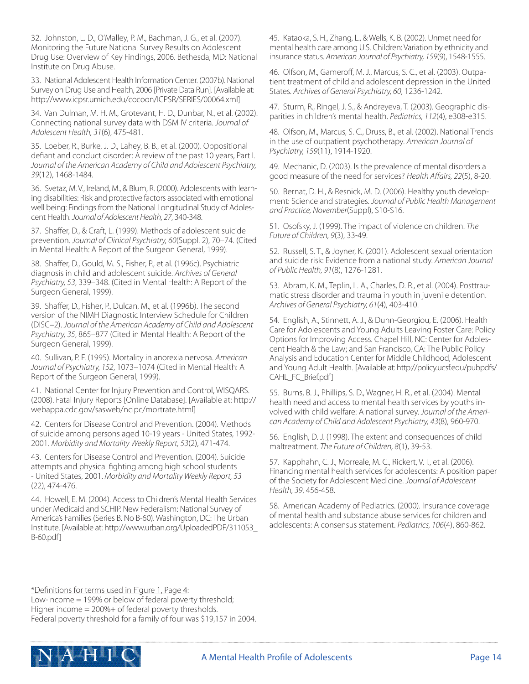32. Johnston, L. D., O'Malley, P. M., Bachman, J. G., et al. (2007). Monitoring the Future National Survey Results on Adolescent Drug Use: Overview of Key Findings, 2006. Bethesda, MD: National Institute on Drug Abuse.

33. National Adolescent Health Information Center. (2007b). National Survey on Drug Use and Health, 2006 [Private Data Run]. [Available at: http://www.icpsr.umich.edu/cocoon/ICPSR/SERIES/00064.xml]

34. Van Dulman, M. H. M., Grotevant, H. D., Dunbar, N., et al. (2002). Connecting national survey data with DSM IV criteria. *Journal of Adolescent Health, 31*(6), 475-481.

35. Loeber, R., Burke, J. D., Lahey, B. B., et al. (2000). Oppositional defiant and conduct disorder: A review of the past 10 years, Part I. *Journal of the American Academy of Child and Adolescent Psychiatry, 39*(12), 1468-1484.

36. Svetaz, M. V., Ireland, M., & Blum, R. (2000). Adolescents with learning disabilities: Risk and protective factors associated with emotional well being: Findings from the National Longitudinal Study of Adolescent Health. *Journal of Adolescent Health, 27*, 340-348.

37. Shaffer, D., & Craft, L. (1999). Methods of adolescent suicide prevention. *Journal of Clinical Psychiatry, 60*(Suppl. 2), 70–74. (Cited in Mental Health: A Report of the Surgeon General, 1999).

38. Shaffer, D., Gould, M. S., Fisher, P., et al. (1996c). Psychiatric diagnosis in child and adolescent suicide. *Archives of General Psychiatry, 53*, 339–348. (Cited in Mental Health: A Report of the Surgeon General, 1999).

39. Shaffer, D., Fisher, P., Dulcan, M., et al. (1996b). The second version of the NIMH Diagnostic Interview Schedule for Children (DISC–2). *Journal of the American Academy of Child and Adolescent Psychiatry, 35*, 865–877 (Cited in Mental Health: A Report of the Surgeon General, 1999).

40. Sullivan, P. F. (1995). Mortality in anorexia nervosa. *American Journal of Psychiatry, 152*, 1073–1074 (Cited in Mental Health: A Report of the Surgeon General, 1999).

41. National Center for Injury Prevention and Control, WISQARS. (2008). Fatal Injury Reports [Online Database]. [Available at: http:// webappa.cdc.gov/sasweb/ncipc/mortrate.html]

42. Centers for Disease Control and Prevention. (2004). Methods of suicide among persons aged 10-19 years - United States, 1992- 2001. *Morbidity and Mortality Weekly Report, 53*(2), 471-474.

43. Centers for Disease Control and Prevention. (2004). Suicide attempts and physical fighting among high school students - United States, 2001. *Morbidity and Mortality Weekly Report, 53*  (22), 474-476.

44. Howell, E. M. (2004). Access to Children's Mental Health Services under Medicaid and SCHIP. New Federalism: National Survey of America's Families (Series B. No B-60). Washington, DC: The Urban Institute. [Available at: http://www.urban.org/UploadedPDF/311053\_ B-60.pdf]

45. Kataoka, S. H., Zhang, L., & Wells, K. B. (2002). Unmet need for mental health care among U.S. Children: Variation by ethnicity and insurance status. *American Journal of Psychiatry, 159*(9), 1548-1555.

46. Olfson, M., Gameroff, M. J., Marcus, S. C., et al. (2003). Outpatient treatment of child and adolescent depression in the United States. *Archives of General Psychiatry, 60*, 1236-1242.

47. Sturm, R., Ringel, J. S., & Andreyeva, T. (2003). Geographic disparities in children's mental health. *Pediatrics, 112*(4), e308-e315.

48. Olfson, M., Marcus, S. C., Druss, B., et al. (2002). National Trends in the use of outpatient psychotherapy. *American Journal of Psychiatry, 159*(11), 1914-1920.

49. Mechanic, D. (2003). Is the prevalence of mental disorders a good measure of the need for services? *Health Affairs, 22*(5), 8-20.

50. Bernat, D. H., & Resnick, M. D. (2006). Healthy youth development: Science and strategies. *Journal of Public Health Management and Practice, November*(Suppl), S10-S16.

51. Osofsky, J. (1999). The impact of violence on children. *The Future of Children, 9*(3), 33-49.

52. Russell, S. T., & Joyner, K. (2001). Adolescent sexual orientation and suicide risk: Evidence from a national study. *American Journal of Public Health, 91*(8), 1276-1281.

53. Abram, K. M., Teplin, L. A., Charles, D. R., et al. (2004). Posttraumatic stress disorder and trauma in youth in juvenile detention. *Archives of General Psychiatry, 61*(4), 403-410.

54. English, A., Stinnett, A. J., & Dunn-Georgiou, E. (2006). Health Care for Adolescents and Young Adults Leaving Foster Care: Policy Options for Improving Access. Chapel Hill, NC: Center for Adolescent Health & the Law; and San Francisco, CA: The Public Policy Analysis and Education Center for Middle Childhood, Adolescent and Young Adult Health. [Available at: http://policy.ucsf.edu/pubpdfs/ CAHL\_FC\_Brief.pdf]

55. Burns, B. J., Phillips, S. D., Wagner, H. R., et al. (2004). Mental health need and access to mental health services by youths involved with child welfare: A national survey. *Journal of the American Academy of Child and Adolescent Psychiatry, 43*(8), 960-970.

56. English, D. J. (1998). The extent and consequences of child maltreatment. *The Future of Children, 8*(1), 39-53.

57. Kapphahn, C. J., Morreale, M. C., Rickert, V. I., et al. (2006). Financing mental health services for adolescents: A position paper of the Society for Adolescent Medicine. *Journal of Adolescent Health, 39*, 456-458.

58. American Academy of Pediatrics. (2000). Insurance coverage of mental health and substance abuse services for children and adolescents: A consensus statement. *Pediatrics, 106*(4), 860-862.

\*Definitions for terms used in Figure 1, Page 4:

Low-income = 199% or below of federal poverty threshold; Higher income = 200%+ of federal poverty thresholds. Federal poverty threshold for a family of four was \$19,157 in 2004.